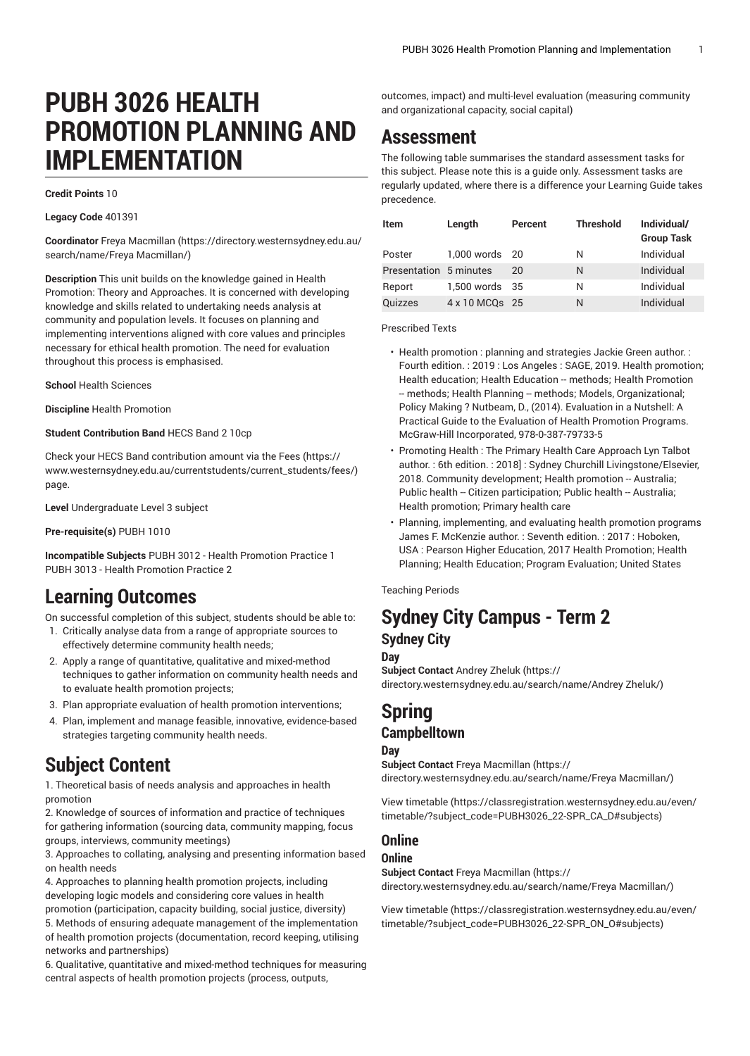# **PUBH 3026 HEALTH PROMOTION PLANNING AND IMPLEMENTATION**

#### **Credit Points** 10

**Legacy Code** 401391

**Coordinator** Freya [Macmillan \(https://directory.westernsydney.edu.au/](https://directory.westernsydney.edu.au/search/name/Freya Macmillan/) [search/name/Freya](https://directory.westernsydney.edu.au/search/name/Freya Macmillan/) Macmillan/)

**Description** This unit builds on the knowledge gained in Health Promotion: Theory and Approaches. It is concerned with developing knowledge and skills related to undertaking needs analysis at community and population levels. It focuses on planning and implementing interventions aligned with core values and principles necessary for ethical health promotion. The need for evaluation throughout this process is emphasised.

**School** Health Sciences

**Discipline** Health Promotion

**Student Contribution Band** HECS Band 2 10cp

Check your HECS Band contribution amount via the [Fees \(https://](https://www.westernsydney.edu.au/currentstudents/current_students/fees/) [www.westernsydney.edu.au/currentstudents/current\\_students/fees/\)](https://www.westernsydney.edu.au/currentstudents/current_students/fees/) page.

**Level** Undergraduate Level 3 subject

**Pre-requisite(s)** [PUBH 1010](/search/?P=PUBH%201010)

**Incompatible Subjects** [PUBH 3012](/search/?P=PUBH%203012) - Health Promotion Practice 1 [PUBH 3013](/search/?P=PUBH%203013) - Health Promotion Practice 2

# **Learning Outcomes**

On successful completion of this subject, students should be able to:

- 1. Critically analyse data from a range of appropriate sources to effectively determine community health needs;
- 2. Apply a range of quantitative, qualitative and mixed-method techniques to gather information on community health needs and to evaluate health promotion projects;
- 3. Plan appropriate evaluation of health promotion interventions;
- 4. Plan, implement and manage feasible, innovative, evidence-based strategies targeting community health needs.

# **Subject Content**

1. Theoretical basis of needs analysis and approaches in health promotion

2. Knowledge of sources of information and practice of techniques for gathering information (sourcing data, community mapping, focus groups, interviews, community meetings)

3. Approaches to collating, analysing and presenting information based on health needs

4. Approaches to planning health promotion projects, including developing logic models and considering core values in health promotion (participation, capacity building, social justice, diversity) 5. Methods of ensuring adequate management of the implementation of health promotion projects (documentation, record keeping, utilising networks and partnerships)

6. Qualitative, quantitative and mixed-method techniques for measuring central aspects of health promotion projects (process, outputs,

outcomes, impact) and multi-level evaluation (measuring community and organizational capacity, social capital)

## **Assessment**

The following table summarises the standard assessment tasks for this subject. Please note this is a guide only. Assessment tasks are regularly updated, where there is a difference your Learning Guide takes precedence.

| <b>Item</b>            | Length         | Percent | <b>Threshold</b> | Individual/<br><b>Group Task</b> |
|------------------------|----------------|---------|------------------|----------------------------------|
| Poster                 | 1,000 words 20 |         | Ν                | Individual                       |
| Presentation 5 minutes |                | 20      | N                | Individual                       |
| Report                 | 1,500 words 35 |         | Ν                | Individual                       |
| <b>Quizzes</b>         | 4 x 10 MCQs 25 |         | N                | Individual                       |

Prescribed Texts

- Health promotion : planning and strategies Jackie Green author. : Fourth edition. : 2019 : Los Angeles : SAGE, 2019. Health promotion; Health education; Health Education -- methods; Health Promotion -- methods; Health Planning -- methods; Models, Organizational; Policy Making ? Nutbeam, D., (2014). Evaluation in a Nutshell: A Practical Guide to the Evaluation of Health Promotion Programs. McGraw-Hill Incorporated, 978-0-387-79733-5
- Promoting Health : The Primary Health Care Approach Lyn Talbot author. : 6th edition. : 2018] : Sydney Churchill Livingstone/Elsevier, 2018. Community development; Health promotion -- Australia; Public health -- Citizen participation; Public health -- Australia; Health promotion; Primary health care
- Planning, implementing, and evaluating health promotion programs James F. McKenzie author. : Seventh edition. : 2017 : Hoboken, USA : Pearson Higher Education, 2017 Health Promotion; Health Planning; Health Education; Program Evaluation; United States

Teaching Periods

### **Sydney City Campus - Term 2 Sydney City**

#### **Day**

**Subject Contact** [Andrey](https://directory.westernsydney.edu.au/search/name/Andrey Zheluk/) Zheluk ([https://](https://directory.westernsydney.edu.au/search/name/Andrey Zheluk/) [directory.westernsydney.edu.au/search/name/Andrey](https://directory.westernsydney.edu.au/search/name/Andrey Zheluk/) Zheluk/)

### **Spring Campbelltown**

#### **Day**

**Subject Contact** Freya [Macmillan](https://directory.westernsydney.edu.au/search/name/Freya Macmillan/) ([https://](https://directory.westernsydney.edu.au/search/name/Freya Macmillan/) [directory.westernsydney.edu.au/search/name/Freya](https://directory.westernsydney.edu.au/search/name/Freya Macmillan/) Macmillan/)

[View timetable](https://classregistration.westernsydney.edu.au/even/timetable/?subject_code=PUBH3026_22-SPR_CA_D#subjects) [\(https://classregistration.westernsydney.edu.au/even/](https://classregistration.westernsydney.edu.au/even/timetable/?subject_code=PUBH3026_22-SPR_CA_D#subjects) [timetable/?subject\\_code=PUBH3026\\_22-SPR\\_CA\\_D#subjects](https://classregistration.westernsydney.edu.au/even/timetable/?subject_code=PUBH3026_22-SPR_CA_D#subjects))

#### **Online**

#### **Online**

**Subject Contact** Freya [Macmillan](https://directory.westernsydney.edu.au/search/name/Freya Macmillan/) ([https://](https://directory.westernsydney.edu.au/search/name/Freya Macmillan/) [directory.westernsydney.edu.au/search/name/Freya](https://directory.westernsydney.edu.au/search/name/Freya Macmillan/) Macmillan/)

[View timetable](https://classregistration.westernsydney.edu.au/even/timetable/?subject_code=PUBH3026_22-SPR_ON_O#subjects) [\(https://classregistration.westernsydney.edu.au/even/](https://classregistration.westernsydney.edu.au/even/timetable/?subject_code=PUBH3026_22-SPR_ON_O#subjects) [timetable/?subject\\_code=PUBH3026\\_22-SPR\\_ON\\_O#subjects\)](https://classregistration.westernsydney.edu.au/even/timetable/?subject_code=PUBH3026_22-SPR_ON_O#subjects)